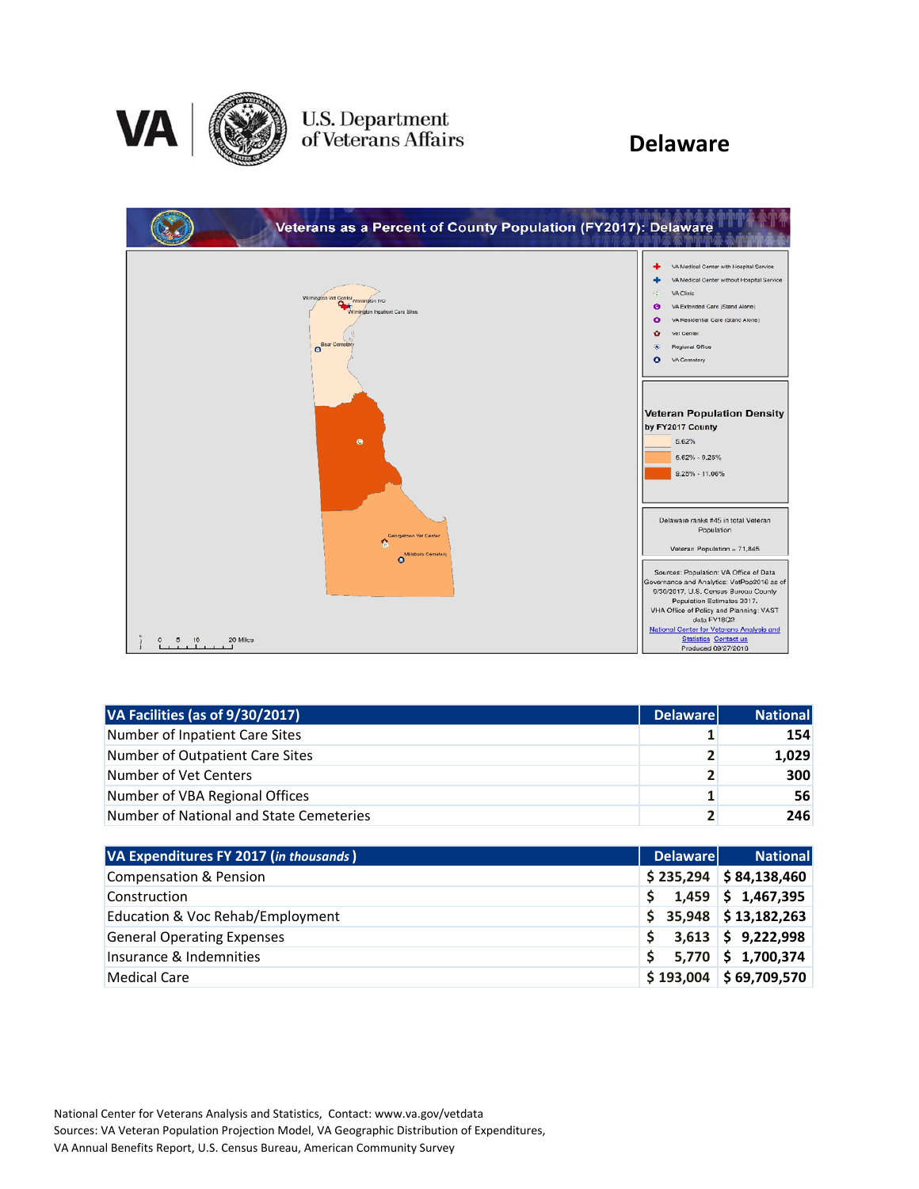

# U.S. Department<br>of Veterans Affairs

### **Delaware**

| Veterans as a Percent of County Population (FY2017): Delaware                                  |                                                                                                                                                                                                                                                                                                                    |
|------------------------------------------------------------------------------------------------|--------------------------------------------------------------------------------------------------------------------------------------------------------------------------------------------------------------------------------------------------------------------------------------------------------------------|
| warmingfon vet Contor winnington RO<br>o.,<br>Wilmington Inputiont Care Sites<br>Bear Cemetery | VA Medical Center with Hospital Service<br>VA Medical Center without Hospital Service<br>VA Clinic<br>æ<br>VA Extended Care (Stand Alone)<br>Θ<br>$\bullet$<br>VA Residential Care (Stand Alone)<br>$\bullet$<br>Vet Center<br>Regional Office<br>VA Cemetery<br>Ο                                                 |
| ۰                                                                                              | <b>Veteran Population Density</b><br>by FY2017 County<br>5.62%<br>$5.62\% - 9.25\%$<br>$9.25\% - 11.06\%$                                                                                                                                                                                                          |
| Georgetown Vet Center<br>o.<br>Millsboro Cemetery<br>$\Omega$                                  | Delaware ranks #45 in total Veteran<br>Population<br>Veteran Population = 71,845                                                                                                                                                                                                                                   |
| 20 Miles<br>10<br>5<br>0                                                                       | Sources: Population: VA Office of Data<br>Governance and Analytics: VetPop2016 as of<br>9/30/2017, U.S. Census Bureau County<br>Population Estimates 2017.<br>VHA Office of Policy and Planning: VAST<br>data FY18Q2.<br>National Center for Veterans Analysis and<br>Statistics Contact us<br>Produced 09/27/2018 |

| VA Facilities (as of 9/30/2017)         | <b>Delaware</b> | <b>National</b> |
|-----------------------------------------|-----------------|-----------------|
| Number of Inpatient Care Sites          |                 | 154             |
| Number of Outpatient Care Sites         | $\mathbf{2}$    | 1,029           |
| Number of Vet Centers                   | 2 <sub>1</sub>  | 300             |
| Number of VBA Regional Offices          | 1               | 56              |
| Number of National and State Cemeteries | $\mathbf{z}$    | 246             |

| VA Expenditures FY 2017 (in thousands) | <b>Delaware</b> | <b>National</b>          |
|----------------------------------------|-----------------|--------------------------|
| Compensation & Pension                 |                 | $$235,294$ $$84,138,460$ |
| Construction                           | S.              | $1,459$ \$ 1,467,395     |
| Education & Voc Rehab/Employment       |                 | $$35,948$ $$13,182,263$  |
| <b>General Operating Expenses</b>      |                 | $3,613$ \$ 9,222,998     |
| Insurance & Indemnities                | Ś.              | $5,770$ \$ 1,700,374     |
| Medical Care                           |                 | $$193,004$ $$69,709,570$ |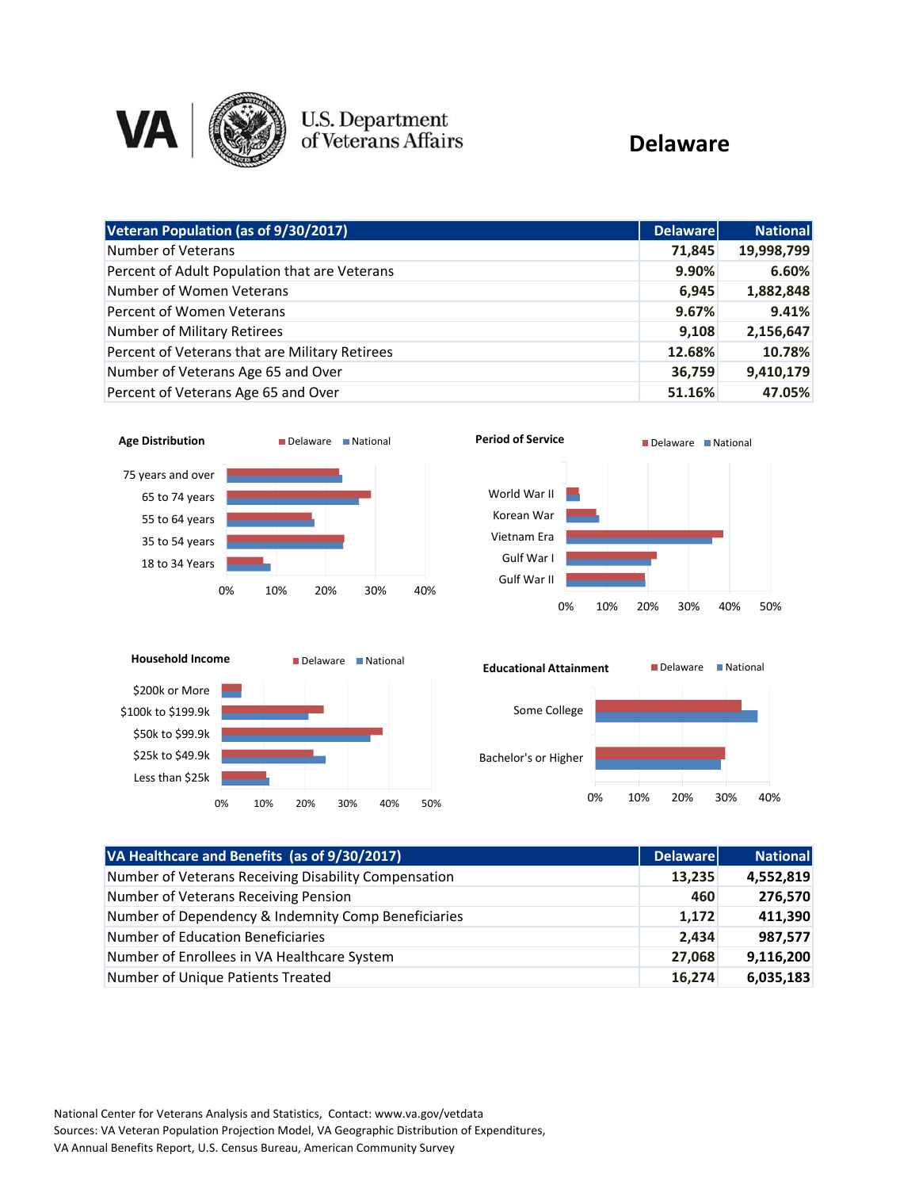

# U.S. Department<br>of Veterans Affairs

#### **Delaware**

| Veteran Population (as of 9/30/2017)           | <b>Delaware</b> | <b>National</b> |
|------------------------------------------------|-----------------|-----------------|
| Number of Veterans                             | 71.845          | 19,998,799      |
| Percent of Adult Population that are Veterans  | 9.90%           | 6.60%           |
| Number of Women Veterans                       | 6,945           | 1,882,848       |
| Percent of Women Veterans                      | 9.67%           | 9.41%           |
| Number of Military Retirees                    | 9,108           | 2,156,647       |
| Percent of Veterans that are Military Retirees | 12.68%          | 10.78%          |
| Number of Veterans Age 65 and Over             | 36,759          | 9,410,179       |
| Percent of Veterans Age 65 and Over            | 51.16%          | 47.05%          |





| VA Healthcare and Benefits (as of 9/30/2017)         | <b>Delaware</b> | <b>National</b> |
|------------------------------------------------------|-----------------|-----------------|
| Number of Veterans Receiving Disability Compensation | 13,235          | 4,552,819       |
| Number of Veterans Receiving Pension                 | 460             | 276,570         |
| Number of Dependency & Indemnity Comp Beneficiaries  | 1,172           | 411,390         |
| Number of Education Beneficiaries                    | 2,434           | 987,577         |
| Number of Enrollees in VA Healthcare System          | 27,068          | 9,116,200       |
| Number of Unique Patients Treated                    | 16,274          | 6,035,183       |